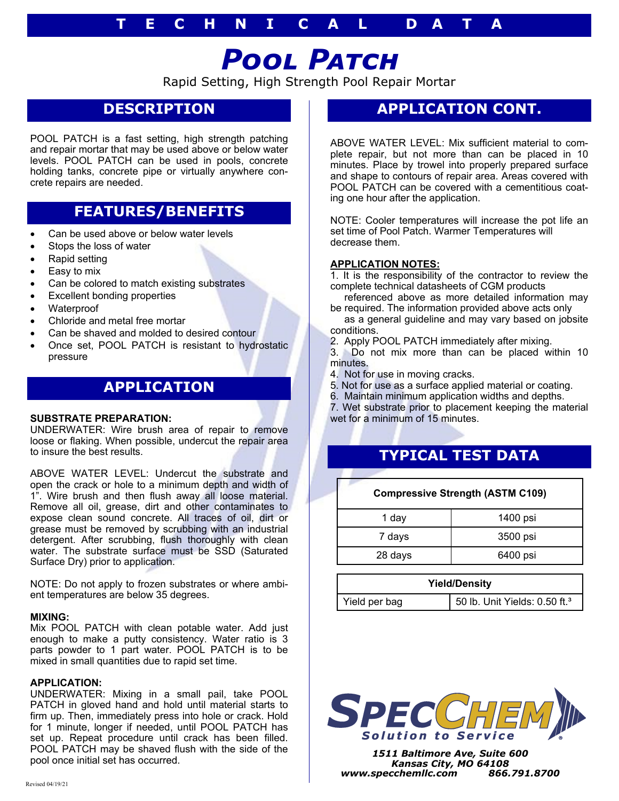### **T E C H N I C A L D A T A**

# *Pool Patch*

Rapid Setting, High Strength Pool Repair Mortar

## **DESCRIPTION**

POOL PATCH is a fast setting, high strength patching and repair mortar that may be used above or below water levels. POOL PATCH can be used in pools, concrete holding tanks, concrete pipe or virtually anywhere concrete repairs are needed.

### **FEATURES/BENEFITS**

- Can be used above or below water levels
- Stops the loss of water
- Rapid setting
- Easy to mix
- Can be colored to match existing substrates
- Excellent bonding properties
- Waterproof
- Chloride and metal free mortar
- Can be shaved and molded to desired contour
- Once set, POOL PATCH is resistant to hydrostatic pressure

### **APPLICATION**

#### **SUBSTRATE PREPARATION:**

UNDERWATER: Wire brush area of repair to remove loose or flaking. When possible, undercut the repair area to insure the best results.

ABOVE WATER LEVEL: Undercut the substrate and open the crack or hole to a minimum depth and width of 1". Wire brush and then flush away all loose material. Remove all oil, grease, dirt and other contaminates to expose clean sound concrete. All traces of oil, dirt or grease must be removed by scrubbing with an industrial detergent. After scrubbing, flush thoroughly with clean water. The substrate surface must be SSD (Saturated Surface Dry) prior to application.

NOTE: Do not apply to frozen substrates or where ambient temperatures are below 35 degrees.

#### **MIXING:**

Mix POOL PATCH with clean potable water. Add just enough to make a putty consistency. Water ratio is 3 parts powder to 1 part water. POOL PATCH is to be mixed in small quantities due to rapid set time.

#### **APPLICATION:**

UNDERWATER: Mixing in a small pail, take POOL PATCH in gloved hand and hold until material starts to firm up. Then, immediately press into hole or crack. Hold for 1 minute, longer if needed, until POOL PATCH has set up. Repeat procedure until crack has been filled. POOL PATCH may be shaved flush with the side of the pool once initial set has occurred.

### **APPLICATION CONT.**

ABOVE WATER LEVEL: Mix sufficient material to complete repair, but not more than can be placed in 10 minutes. Place by trowel into properly prepared surface and shape to contours of repair area. Areas covered with POOL PATCH can be covered with a cementitious coating one hour after the application.

NOTE: Cooler temperatures will increase the pot life an set time of Pool Patch. Warmer Temperatures will decrease them.

#### **APPLICATION NOTES:**

1. It is the responsibility of the contractor to review the complete technical datasheets of CGM products

 referenced above as more detailed information may be required. The information provided above acts only

 as a general guideline and may vary based on jobsite conditions.

2. Apply POOL PATCH immediately after mixing.

3. Do not mix more than can be placed within 10 minutes.

- 4. Not for use in moving cracks.
- 5. Not for use as a surface applied material or coating.
- 6. Maintain minimum application widths and depths.

7. Wet substrate prior to placement keeping the material wet for a minimum of 15 minutes.

### **TYPICAL TEST DATA**

| <b>Compressive Strength (ASTM C109)</b> |  |          |
|-----------------------------------------|--|----------|
| 1 day                                   |  | 1400 psi |
| 7 days                                  |  | 3500 psi |
| 28 days                                 |  | 6400 psi |
|                                         |  |          |

| <b>Yield/Density</b> |                                           |  |
|----------------------|-------------------------------------------|--|
| Yield per bag        | 50 lb. Unit Yields: 0.50 ft. <sup>3</sup> |  |



*1511 Baltimore Ave, Suite 600 Kansas City, MO 64108 www.specchemllc.com 866.791.8700*